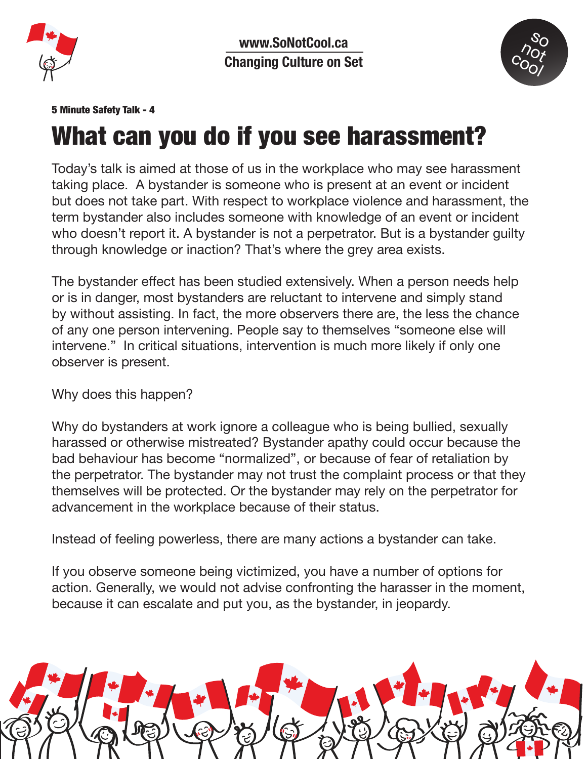

**www.SoNotCool.ca Changing Culture on Set**



## 5 Minute Safety Talk - 4

## What can you do if you see harassment?

Today's talk is aimed at those of us in the workplace who may see harassment taking place. A bystander is someone who is present at an event or incident but does not take part. With respect to workplace violence and harassment, the term bystander also includes someone with knowledge of an event or incident who doesn't report it. A bystander is not a perpetrator. But is a bystander quilty through knowledge or inaction? That's where the grey area exists.

The bystander effect has been studied extensively. When a person needs help or is in danger, most bystanders are reluctant to intervene and simply stand by without assisting. In fact, the more observers there are, the less the chance of any one person intervening. People say to themselves "someone else will intervene." In critical situations, intervention is much more likely if only one observer is present.

Why does this happen?

Why do bystanders at work ignore a colleague who is being bullied, sexually harassed or otherwise mistreated? Bystander apathy could occur because the bad behaviour has become "normalized", or because of fear of retaliation by the perpetrator. The bystander may not trust the complaint process or that they themselves will be protected. Or the bystander may rely on the perpetrator for advancement in the workplace because of their status.

Instead of feeling powerless, there are many actions a bystander can take.

If you observe someone being victimized, you have a number of options for action. Generally, we would not advise confronting the harasser in the moment, because it can escalate and put you, as the bystander, in jeopardy.

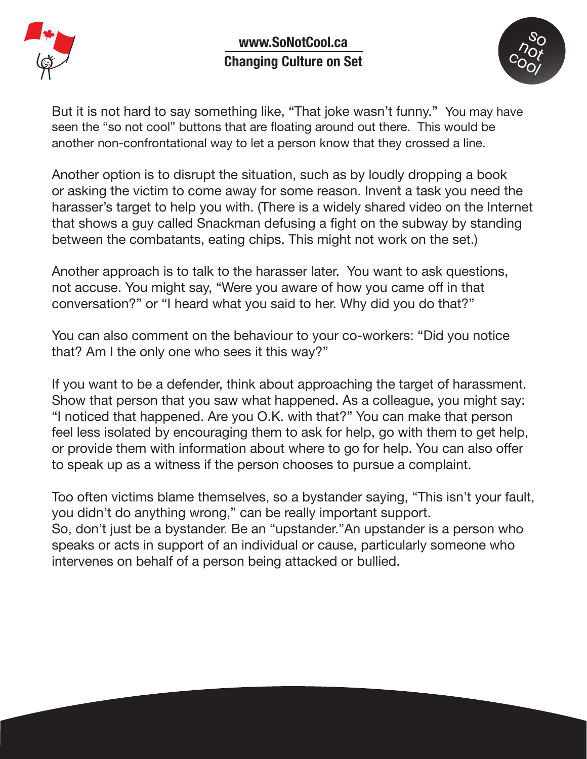



But it is not hard to say something like, "That joke wasn't funny." You may have seen the "so not cool" buttons that are floating around out there. This would be another non-confrontational way to let a person know that they crossed a line.

Another option is to disrupt the situation, such as by loudly dropping a book or asking the victim to come away for some reason. Invent a task you need the harasser's target to help you with. (There is a widely shared video on the Internet that shows a guy called Snackman defusing a fight on the subway by standing between the combatants, eating chips. This might not work on the set.)

Another approach is to talk to the harasser later. You want to ask questions, not accuse. You might say, "Were you aware of how you came off in that conversation?" or "I heard what you said to her. Why did you do that?"

You can also comment on the behaviour to your co-workers: "Did you notice that? Am I the only one who sees it this way?"

If you want to be a defender, think about approaching the target of harassment. Show that person that you saw what happened. As a colleague, you might say: "I noticed that happened. Are you O.K. with that?" You can make that person feel less isolated by encouraging them to ask for help, go with them to get help, or provide them with information about where to go for help. You can also offer to speak up as a witness if the person chooses to pursue a complaint.

Too often victims blame themselves, so a bystander saying, "This isn't your fault, you didn't do anything wrong," can be really important support. So, don't just be a bystander. Be an "upstander."An upstander is a person who speaks or acts in support of an individual or cause, particularly someone who intervenes on behalf of a person being attacked or bullied.